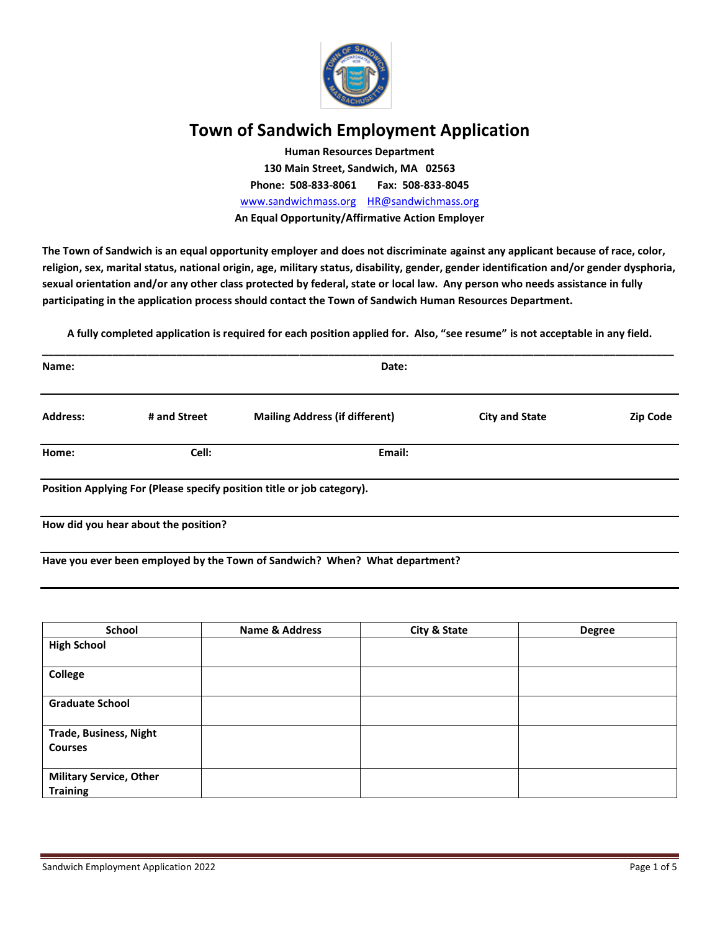

# **Town of Sandwich Employment Application**

**Human Resources Department 130 Main Street, Sandwich, MA 02563 Phone: 508-833-8061 Fax: 508-833-8045** [www.sandwichmass.org](http://www.sandwichmass.org/) [HR@sandwichmass.org](mailto:HR@sandwichmass.org) **An Equal Opportunity/Affirmative Action Employer**

**The Town of Sandwich is an equal opportunity employer and does not discriminate against any applicant because of race, color, religion, sex, marital status, national origin, age, military status, disability, gender, gender identification and/or gender dysphoria, sexual orientation and/or any other class protected by federal, state or local law. Any person who needs assistance in fully participating in the application process should contact the Town of Sandwich Human Resources Department.**

**A fully completed application is required for each position applied for. Also, "see resume" is not acceptable in any field.**

| Name:           |                                      | Date:                                                                  |                       |                 |
|-----------------|--------------------------------------|------------------------------------------------------------------------|-----------------------|-----------------|
| <b>Address:</b> | # and Street                         | <b>Mailing Address (if different)</b>                                  | <b>City and State</b> | <b>Zip Code</b> |
| Home:           | Cell:                                | Email:                                                                 |                       |                 |
|                 |                                      | Position Applying For (Please specify position title or job category). |                       |                 |
|                 | How did you hear about the position? |                                                                        |                       |                 |

**Have you ever been employed by the Town of Sandwich? When? What department?**

| School                         | <b>Name &amp; Address</b> | <b>City &amp; State</b> | <b>Degree</b> |
|--------------------------------|---------------------------|-------------------------|---------------|
| <b>High School</b>             |                           |                         |               |
|                                |                           |                         |               |
| College                        |                           |                         |               |
|                                |                           |                         |               |
| <b>Graduate School</b>         |                           |                         |               |
|                                |                           |                         |               |
| <b>Trade, Business, Night</b>  |                           |                         |               |
| <b>Courses</b>                 |                           |                         |               |
|                                |                           |                         |               |
| <b>Military Service, Other</b> |                           |                         |               |
| <b>Training</b>                |                           |                         |               |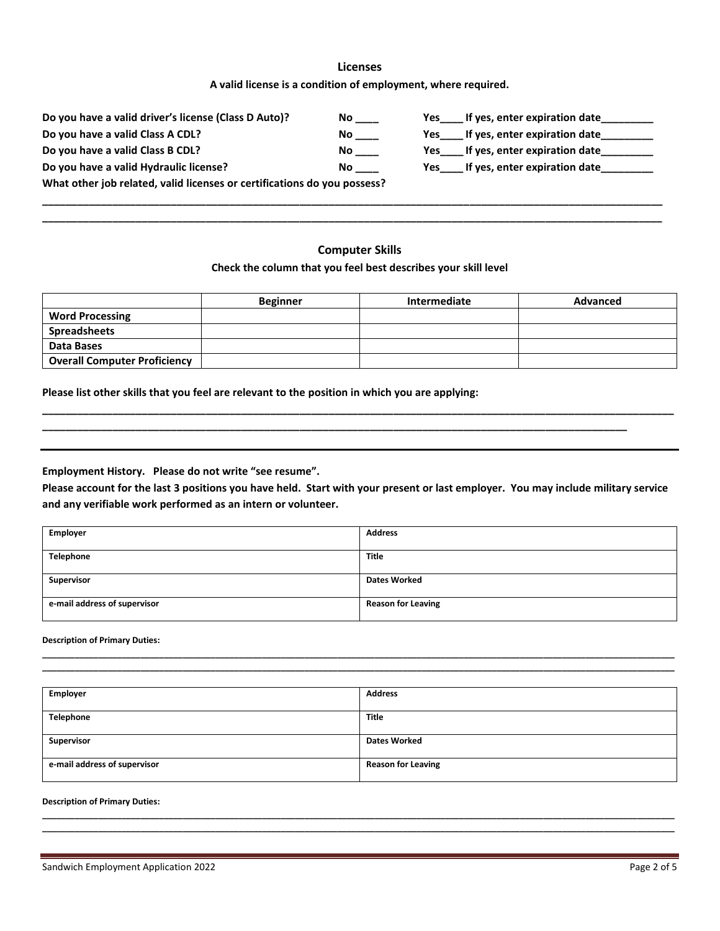# **Licenses A valid license is a condition of employment, where required.**

| Do you have a valid driver's license (Class D Auto)?                     | No. | If yes, enter expiration date<br>Yes |
|--------------------------------------------------------------------------|-----|--------------------------------------|
| Do you have a valid Class A CDL?                                         | No. | If yes, enter expiration date<br>Yes |
| Do you have a valid Class B CDL?                                         | No. | If yes, enter expiration date<br>Yes |
| Do you have a valid Hydraulic license?<br>No.                            |     | If yes, enter expiration date<br>Yes |
| What other job related, valid licenses or certifications do you possess? |     |                                      |

**\_\_\_\_\_\_\_\_\_\_\_\_\_\_\_\_\_\_\_\_\_\_\_\_\_\_\_\_\_\_\_\_\_\_\_\_\_\_\_\_\_\_\_\_\_\_\_\_\_\_\_\_\_\_\_\_\_\_\_\_\_\_\_\_\_\_\_\_\_\_\_\_\_\_\_\_\_\_\_\_\_\_\_\_\_\_\_\_\_\_\_\_\_\_\_\_\_\_\_\_\_\_\_\_\_\_ \_\_\_\_\_\_\_\_\_\_\_\_\_\_\_\_\_\_\_\_\_\_\_\_\_\_\_\_\_\_\_\_\_\_\_\_\_\_\_\_\_\_\_\_\_\_\_\_\_\_\_\_\_\_\_\_\_\_\_\_\_\_\_\_\_\_\_\_\_\_\_\_\_\_\_\_\_\_\_\_\_\_\_\_\_\_\_\_\_\_\_\_\_\_\_\_\_\_\_\_\_\_\_\_\_\_**

# **Computer Skills**

### **Check the column that you feel best describes your skill level**

|                                     | <b>Beginner</b> | Intermediate | <b>Advanced</b> |
|-------------------------------------|-----------------|--------------|-----------------|
| <b>Word Processing</b>              |                 |              |                 |
| <b>Spreadsheets</b>                 |                 |              |                 |
| Data Bases                          |                 |              |                 |
| <b>Overall Computer Proficiency</b> |                 |              |                 |

**\_\_\_\_\_\_\_\_\_\_\_\_\_\_\_\_\_\_\_\_\_\_\_\_\_\_\_\_\_\_\_\_\_\_\_\_\_\_\_\_\_\_\_\_\_\_\_\_\_\_\_\_\_\_\_\_\_\_\_\_\_\_\_\_\_\_\_\_\_\_\_\_\_\_\_\_\_\_\_\_\_\_\_\_\_\_\_\_\_\_\_\_\_\_\_\_\_\_\_\_\_\_\_\_\_\_\_\_**

**\_\_\_\_\_\_\_\_\_\_\_\_\_\_\_\_\_\_\_\_\_\_\_\_\_\_\_\_\_\_\_\_\_\_\_\_\_\_\_\_\_\_\_\_\_\_\_\_\_\_\_\_\_\_\_\_\_\_\_\_\_\_\_\_\_\_\_\_\_\_\_\_\_\_\_\_\_\_\_\_\_\_\_\_\_\_\_\_\_\_\_\_\_\_\_\_\_\_\_\_**

**Please list other skills that you feel are relevant to the position in which you are applying:**

**Employment History. Please do not write "see resume".**

**Please account for the last 3 positions you have held. Start with your present or last employer. You may include military service and any verifiable work performed as an intern or volunteer.** 

| Employer                     | <b>Address</b>            |
|------------------------------|---------------------------|
| Telephone                    | <b>Title</b>              |
|                              |                           |
| Supervisor                   | <b>Dates Worked</b>       |
|                              |                           |
| e-mail address of supervisor | <b>Reason for Leaving</b> |
|                              |                           |

#### **Description of Primary Duties:**

| <b>Employer</b>              | <b>Address</b>            |
|------------------------------|---------------------------|
|                              |                           |
| Telephone                    | <b>Title</b>              |
|                              |                           |
| Supervisor                   | <b>Dates Worked</b>       |
|                              |                           |
| e-mail address of supervisor | <b>Reason for Leaving</b> |
|                              |                           |

**\_\_\_\_\_\_\_\_\_\_\_\_\_\_\_\_\_\_\_\_\_\_\_\_\_\_\_\_\_\_\_\_\_\_\_\_\_\_\_\_\_\_\_\_\_\_\_\_\_\_\_\_\_\_\_\_\_\_\_\_\_\_\_\_\_\_\_\_\_\_\_\_\_\_\_\_\_\_\_\_\_\_\_\_\_\_\_\_\_\_\_\_\_\_\_\_\_\_\_\_\_\_\_\_\_\_\_\_\_\_\_\_\_\_\_\_\_\_\_\_\_\_\_\_\_\_\_\_\_\_\_\_\_\_\_ \_\_\_\_\_\_\_\_\_\_\_\_\_\_\_\_\_\_\_\_\_\_\_\_\_\_\_\_\_\_\_\_\_\_\_\_\_\_\_\_\_\_\_\_\_\_\_\_\_\_\_\_\_\_\_\_\_\_\_\_\_\_\_\_\_\_\_\_\_\_\_\_\_\_\_\_\_\_\_\_\_\_\_\_\_\_\_\_\_\_\_\_\_\_\_\_\_\_\_\_\_\_\_\_\_\_\_\_\_\_\_\_\_\_\_\_\_\_\_\_\_\_\_\_\_\_\_\_\_\_\_\_\_\_\_**

**\_\_\_\_\_\_\_\_\_\_\_\_\_\_\_\_\_\_\_\_\_\_\_\_\_\_\_\_\_\_\_\_\_\_\_\_\_\_\_\_\_\_\_\_\_\_\_\_\_\_\_\_\_\_\_\_\_\_\_\_\_\_\_\_\_\_\_\_\_\_\_\_\_\_\_\_\_\_\_\_\_\_\_\_\_\_\_\_\_\_\_\_\_\_\_\_\_\_\_\_\_\_\_\_\_\_\_\_\_\_\_\_\_\_\_\_\_\_\_\_\_\_\_\_\_\_\_\_\_\_\_\_\_\_\_ \_\_\_\_\_\_\_\_\_\_\_\_\_\_\_\_\_\_\_\_\_\_\_\_\_\_\_\_\_\_\_\_\_\_\_\_\_\_\_\_\_\_\_\_\_\_\_\_\_\_\_\_\_\_\_\_\_\_\_\_\_\_\_\_\_\_\_\_\_\_\_\_\_\_\_\_\_\_\_\_\_\_\_\_\_\_\_\_\_\_\_\_\_\_\_\_\_\_\_\_\_\_\_\_\_\_\_\_\_\_\_\_\_\_\_\_\_\_\_\_\_\_\_\_\_\_\_\_\_\_\_\_\_\_\_**

#### **Description of Primary Duties:**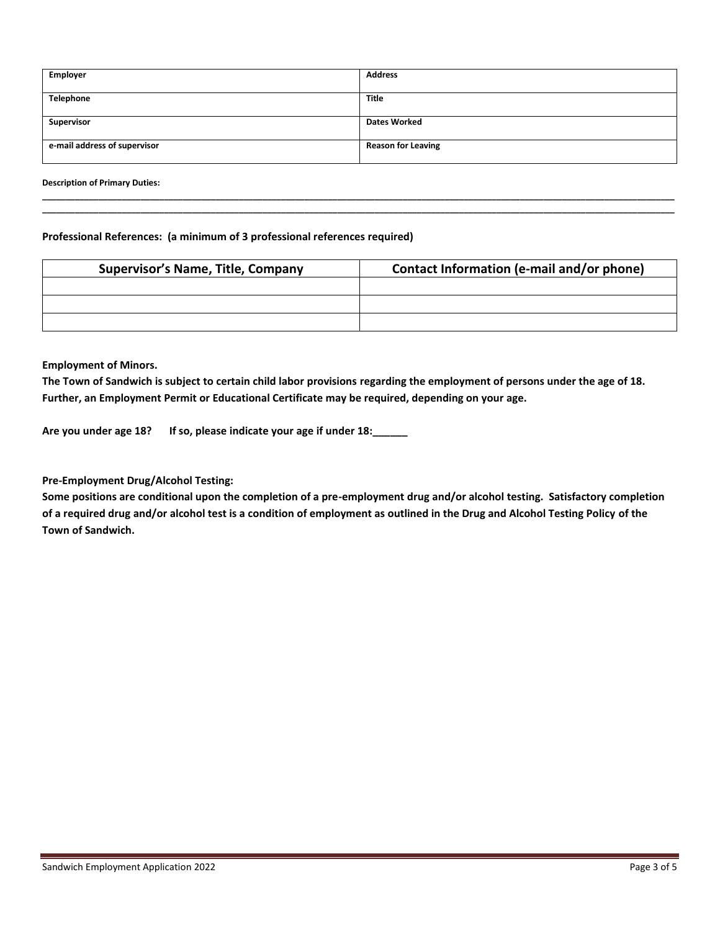| Employer                     | <b>Address</b>            |
|------------------------------|---------------------------|
| Telephone                    | <b>Title</b>              |
| Supervisor                   | <b>Dates Worked</b>       |
|                              |                           |
| e-mail address of supervisor | <b>Reason for Leaving</b> |

**\_\_\_\_\_\_\_\_\_\_\_\_\_\_\_\_\_\_\_\_\_\_\_\_\_\_\_\_\_\_\_\_\_\_\_\_\_\_\_\_\_\_\_\_\_\_\_\_\_\_\_\_\_\_\_\_\_\_\_\_\_\_\_\_\_\_\_\_\_\_\_\_\_\_\_\_\_\_\_\_\_\_\_\_\_\_\_\_\_\_\_\_\_\_\_\_\_\_\_\_\_\_\_\_\_\_\_\_\_\_\_\_\_\_\_\_\_\_\_\_\_\_\_\_\_\_\_\_\_\_\_\_\_\_\_ \_\_\_\_\_\_\_\_\_\_\_\_\_\_\_\_\_\_\_\_\_\_\_\_\_\_\_\_\_\_\_\_\_\_\_\_\_\_\_\_\_\_\_\_\_\_\_\_\_\_\_\_\_\_\_\_\_\_\_\_\_\_\_\_\_\_\_\_\_\_\_\_\_\_\_\_\_\_\_\_\_\_\_\_\_\_\_\_\_\_\_\_\_\_\_\_\_\_\_\_\_\_\_\_\_\_\_\_\_\_\_\_\_\_\_\_\_\_\_\_\_\_\_\_\_\_\_\_\_\_\_\_\_\_\_**

**Description of Primary Duties:** 

## **Professional References: (a minimum of 3 professional references required)**

| <b>Supervisor's Name, Title, Company</b> | Contact Information (e-mail and/or phone) |
|------------------------------------------|-------------------------------------------|
|                                          |                                           |
|                                          |                                           |
|                                          |                                           |

**Employment of Minors.**

**The Town of Sandwich is subject to certain child labor provisions regarding the employment of persons under the age of 18. Further, an Employment Permit or Educational Certificate may be required, depending on your age.**

**Are you under age 18? If so, please indicate your age if under 18:\_\_\_\_\_\_**

**Pre-Employment Drug/Alcohol Testing:**

**Some positions are conditional upon the completion of a pre-employment drug and/or alcohol testing. Satisfactory completion of a required drug and/or alcohol test is a condition of employment as outlined in the Drug and Alcohol Testing Policy of the Town of Sandwich.**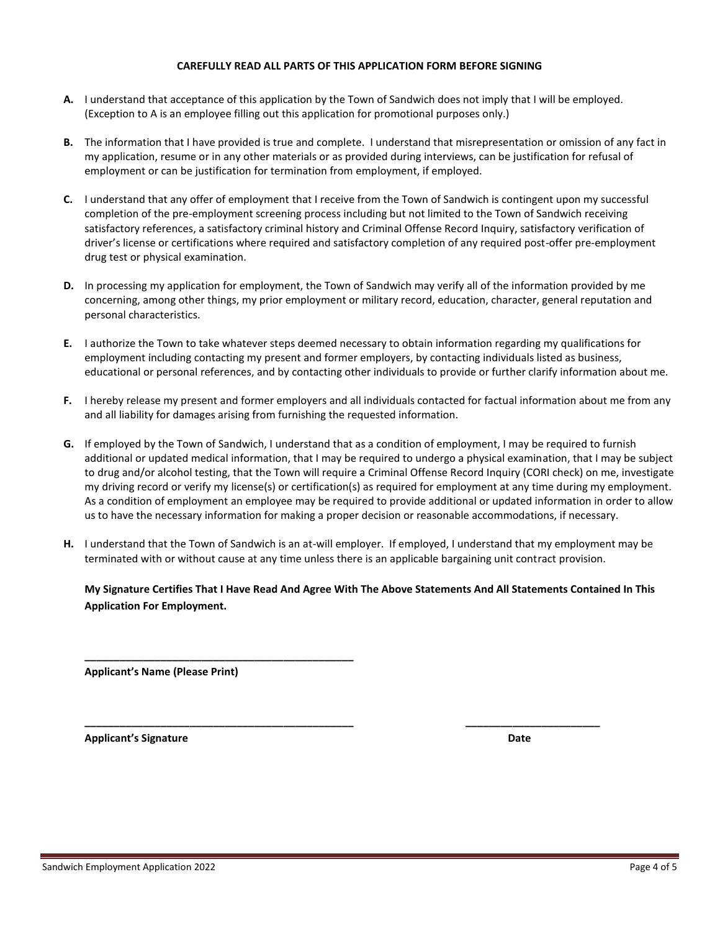### **CAREFULLY READ ALL PARTS OF THIS APPLICATION FORM BEFORE SIGNING**

- **A.** I understand that acceptance of this application by the Town of Sandwich does not imply that I will be employed. (Exception to A is an employee filling out this application for promotional purposes only.)
- **B.** The information that I have provided is true and complete. I understand that misrepresentation or omission of any fact in my application, resume or in any other materials or as provided during interviews, can be justification for refusal of employment or can be justification for termination from employment, if employed.
- **C.** I understand that any offer of employment that I receive from the Town of Sandwich is contingent upon my successful completion of the pre-employment screening process including but not limited to the Town of Sandwich receiving satisfactory references, a satisfactory criminal history and Criminal Offense Record Inquiry, satisfactory verification of driver's license or certifications where required and satisfactory completion of any required post-offer pre-employment drug test or physical examination.
- **D.** In processing my application for employment, the Town of Sandwich may verify all of the information provided by me concerning, among other things, my prior employment or military record, education, character, general reputation and personal characteristics.
- **E.** I authorize the Town to take whatever steps deemed necessary to obtain information regarding my qualifications for employment including contacting my present and former employers, by contacting individuals listed as business, educational or personal references, and by contacting other individuals to provide or further clarify information about me.
- **F.** I hereby release my present and former employers and all individuals contacted for factual information about me from any and all liability for damages arising from furnishing the requested information.
- **G.** If employed by the Town of Sandwich, I understand that as a condition of employment, I may be required to furnish additional or updated medical information, that I may be required to undergo a physical examination, that I may be subject to drug and/or alcohol testing, that the Town will require a Criminal Offense Record Inquiry (CORI check) on me, investigate my driving record or verify my license(s) or certification(s) as required for employment at any time during my employment. As a condition of employment an employee may be required to provide additional or updated information in order to allow us to have the necessary information for making a proper decision or reasonable accommodations, if necessary.
- **H.** I understand that the Town of Sandwich is an at-will employer. If employed, I understand that my employment may be terminated with or without cause at any time unless there is an applicable bargaining unit contract provision.

**\_\_\_\_\_\_\_\_\_\_\_\_\_\_\_\_\_\_\_\_\_\_\_\_\_\_\_\_\_\_\_\_\_\_\_\_\_\_\_\_\_\_\_\_\_\_ \_\_\_\_\_\_\_\_\_\_\_\_\_\_\_\_\_\_\_\_\_\_\_**

**My Signature Certifies That I Have Read And Agree With The Above Statements And All Statements Contained In This Application For Employment.**

**Applicant's Name (Please Print)**

**\_\_\_\_\_\_\_\_\_\_\_\_\_\_\_\_\_\_\_\_\_\_\_\_\_\_\_\_\_\_\_\_\_\_\_\_\_\_\_\_\_\_\_\_\_\_**

**Applicant's Signature Date**